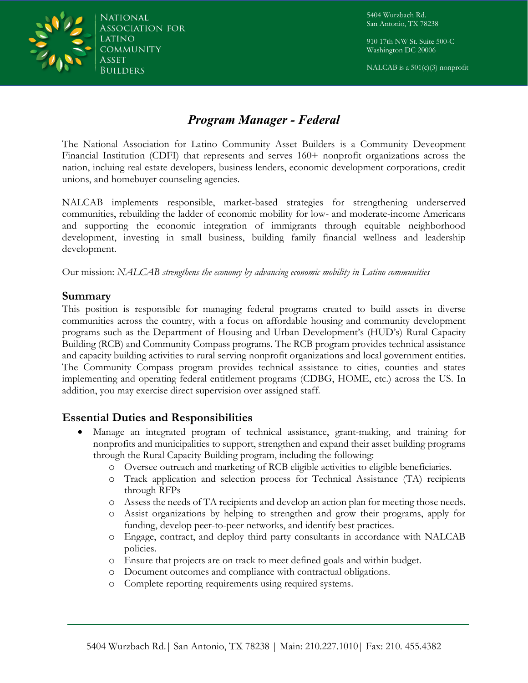National *ASSOCIATION FOR* COMMUNITY BUILDERS

5404 Wurzbach Rd. San Antonio, TX 78238

910 17th NW St. Suite 500-C Washington DC 20006

NALCAB is a  $501(c)(3)$  nonprofit

# *Program Manager - Federal*

The National Association for Latino Community Asset Builders is a Community Deveopment Financial Institution (CDFI) that represents and serves 160+ nonprofit organizations across the nation, incluing real estate developers, business lenders, economic development corporations, credit unions, and homebuyer counseling agencies.

NALCAB implements responsible, market-based strategies for strengthening underserved communities, rebuilding the ladder of economic mobility for low- and moderate-income Americans and supporting the economic integration of immigrants through equitable neighborhood development, investing in small business, building family financial wellness and leadership development.

Our mission: *NALCAB strengthens the economy by advancing economic mobility in Latino communities*

#### **Summary**

This position is responsible for managing federal programs created to build assets in diverse communities across the country, with a focus on affordable housing and community development programs such as the Department of Housing and Urban Development's (HUD's) Rural Capacity Building (RCB) and Community Compass programs. The RCB program provides technical assistance and capacity building activities to rural serving nonprofit organizations and local government entities. The Community Compass program provides technical assistance to cities, counties and states implementing and operating federal entitlement programs (CDBG, HOME, etc.) across the US. In addition, you may exercise direct supervision over assigned staff.

### **Essential Duties and Responsibilities**

- Manage an integrated program of technical assistance, grant-making, and training for nonprofits and municipalities to support, strengthen and expand their asset building programs through the Rural Capacity Building program, including the following:
	- o Oversee outreach and marketing of RCB eligible activities to eligible beneficiaries.
	- o Track application and selection process for Technical Assistance (TA) recipients through RFPs
	- o Assess the needs of TA recipients and develop an action plan for meeting those needs.
	- o Assist organizations by helping to strengthen and grow their programs, apply for funding, develop peer-to-peer networks, and identify best practices.
	- o Engage, contract, and deploy third party consultants in accordance with NALCAB policies.
	- o Ensure that projects are on track to meet defined goals and within budget.
	- o Document outcomes and compliance with contractual obligations.
	- o Complete reporting requirements using required systems.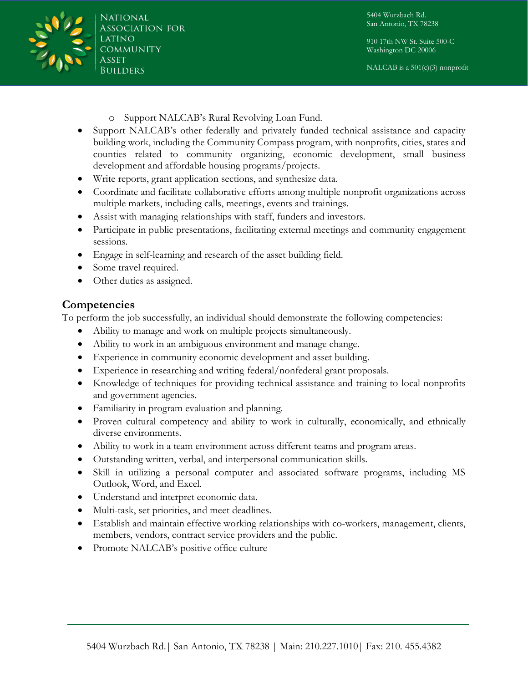National *ASSOCIATION FOR* **COMMUNITY BUILDERS** 

5404 Wurzbach Rd. San Antonio, TX 78238

910 17th NW St. Suite 500-C Washington DC 20006

NALCAB is a  $501(c)(3)$  nonprofit

- o Support NALCAB's Rural Revolving Loan Fund.
- Support NALCAB's other federally and privately funded technical assistance and capacity building work, including the Community Compass program, with nonprofits, cities, states and counties related to community organizing, economic development, small business development and affordable housing programs/projects.
- Write reports, grant application sections, and synthesize data.
- Coordinate and facilitate collaborative efforts among multiple nonprofit organizations across multiple markets, including calls, meetings, events and trainings.
- Assist with managing relationships with staff, funders and investors.
- Participate in public presentations, facilitating external meetings and community engagement sessions.
- Engage in self-learning and research of the asset building field.
- Some travel required.
- Other duties as assigned.

### **Competencies**

To perform the job successfully, an individual should demonstrate the following competencies:

- Ability to manage and work on multiple projects simultaneously.
- Ability to work in an ambiguous environment and manage change.
- Experience in community economic development and asset building.
- Experience in researching and writing federal/nonfederal grant proposals.
- Knowledge of techniques for providing technical assistance and training to local nonprofits and government agencies.
- Familiarity in program evaluation and planning.
- Proven cultural competency and ability to work in culturally, economically, and ethnically diverse environments.
- Ability to work in a team environment across different teams and program areas.
- Outstanding written, verbal, and interpersonal communication skills.
- Skill in utilizing a personal computer and associated software programs, including MS Outlook, Word, and Excel.
- Understand and interpret economic data.
- Multi-task, set priorities, and meet deadlines.
- Establish and maintain effective working relationships with co-workers, management, clients, members, vendors, contract service providers and the public.
- Promote NALCAB's positive office culture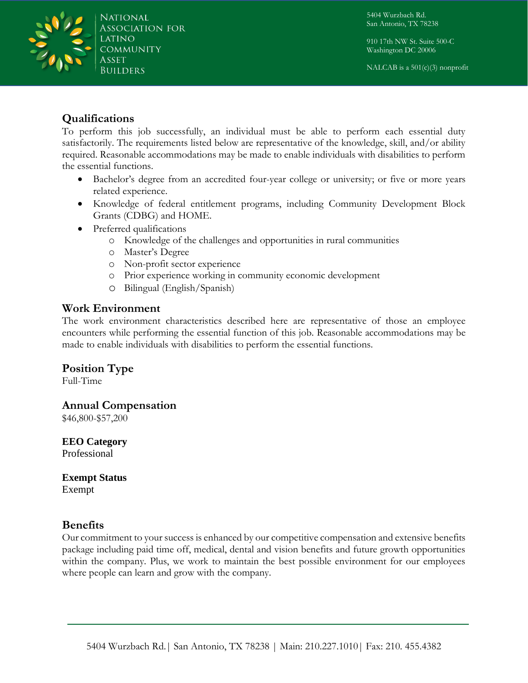5404 Wurzbach Rd. San Antonio, TX 78238

910 17th NW St. Suite 500-C Washington DC 20006

NALCAB is a  $501(c)(3)$  nonprofit



### **Qualifications**

To perform this job successfully, an individual must be able to perform each essential duty satisfactorily. The requirements listed below are representative of the knowledge, skill, and/or ability required. Reasonable accommodations may be made to enable individuals with disabilities to perform the essential functions.

- Bachelor's degree from an accredited four-year college or university; or five or more years related experience.
- Knowledge of federal entitlement programs, including Community Development Block Grants (CDBG) and HOME.
- Preferred qualifications
	- o Knowledge of the challenges and opportunities in rural communities
	- o Master's Degree
	- o Non-profit sector experience
	- o Prior experience working in community economic development
	- o Bilingual (English/Spanish)

### **Work Environment**

The work environment characteristics described here are representative of those an employee encounters while performing the essential function of this job. Reasonable accommodations may be made to enable individuals with disabilities to perform the essential functions.

## **Position Type**

Full-Time

### **Annual Compensation**

\$46,800-\$57,200

**EEO Category**  Professional

**Exempt Status**  Exempt

### **Benefits**

Our commitment to your success is enhanced by our competitive compensation and extensive benefits package including paid time off, medical, dental and vision benefits and future growth opportunities within the company. Plus, we work to maintain the best possible environment for our employees where people can learn and grow with the company.